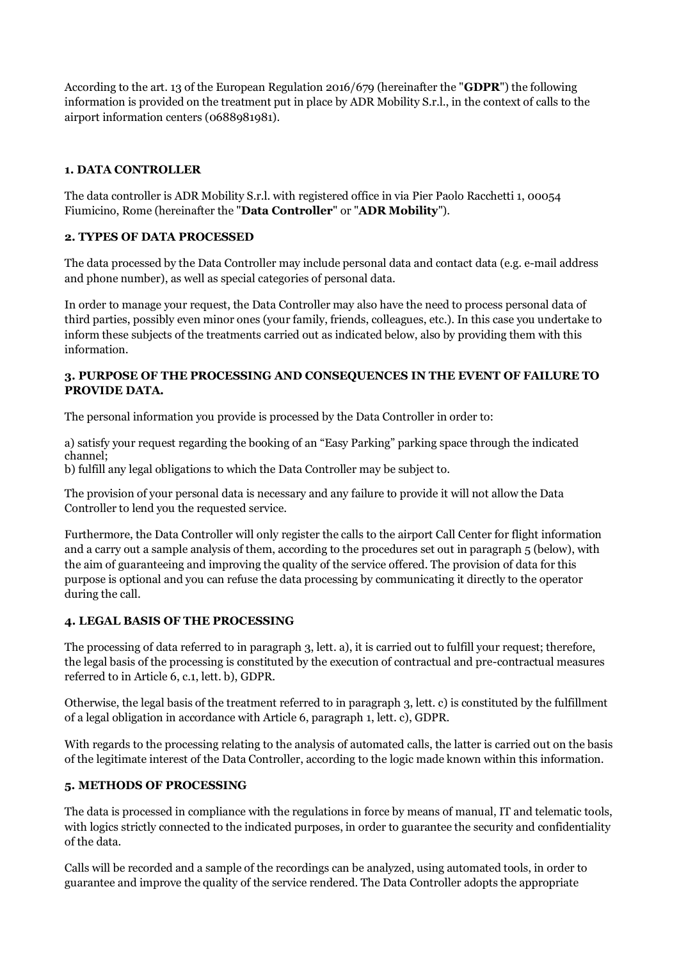According to the art. 13 of the European Regulation 2016/679 (hereinafter the "**GDPR**") the following information is provided on the treatment put in place by ADR Mobility S.r.l., in the context of calls to the airport information centers (0688981981).

# **1. DATA CONTROLLER**

The data controller is ADR Mobility S.r.l. with registered office in via Pier Paolo Racchetti 1, 00054 Fiumicino, Rome (hereinafter the "**Data Controller**" or "**ADR Mobility**").

#### **2. TYPES OF DATA PROCESSED**

The data processed by the Data Controller may include personal data and contact data (e.g. e-mail address and phone number), as well as special categories of personal data.

In order to manage your request, the Data Controller may also have the need to process personal data of third parties, possibly even minor ones (your family, friends, colleagues, etc.). In this case you undertake to inform these subjects of the treatments carried out as indicated below, also by providing them with this information.

## **3. PURPOSE OF THE PROCESSING AND CONSEQUENCES IN THE EVENT OF FAILURE TO PROVIDE DATA.**

The personal information you provide is processed by the Data Controller in order to:

a) satisfy your request regarding the booking of an "Easy Parking" parking space through the indicated channel;

b) fulfill any legal obligations to which the Data Controller may be subject to.

The provision of your personal data is necessary and any failure to provide it will not allow the Data Controller to lend you the requested service.

Furthermore, the Data Controller will only register the calls to the airport Call Center for flight information and a carry out a sample analysis of them, according to the procedures set out in paragraph 5 (below), with the aim of guaranteeing and improving the quality of the service offered. The provision of data for this purpose is optional and you can refuse the data processing by communicating it directly to the operator during the call.

# **4. LEGAL BASIS OF THE PROCESSING**

The processing of data referred to in paragraph 3, lett. a), it is carried out to fulfill your request; therefore, the legal basis of the processing is constituted by the execution of contractual and pre-contractual measures referred to in Article 6, c.1, lett. b), GDPR.

Otherwise, the legal basis of the treatment referred to in paragraph 3, lett. c) is constituted by the fulfillment of a legal obligation in accordance with Article 6, paragraph 1, lett. c), GDPR.

With regards to the processing relating to the analysis of automated calls, the latter is carried out on the basis of the legitimate interest of the Data Controller, according to the logic made known within this information.

# **5. METHODS OF PROCESSING**

The data is processed in compliance with the regulations in force by means of manual, IT and telematic tools, with logics strictly connected to the indicated purposes, in order to guarantee the security and confidentiality of the data.

Calls will be recorded and a sample of the recordings can be analyzed, using automated tools, in order to guarantee and improve the quality of the service rendered. The Data Controller adopts the appropriate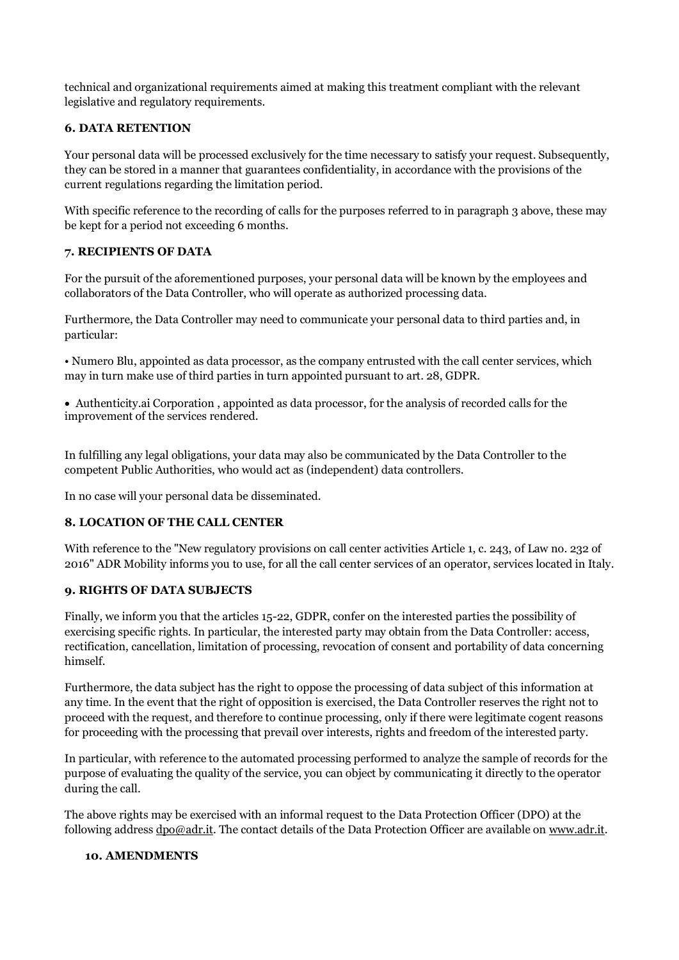technical and organizational requirements aimed at making this treatment compliant with the relevant legislative and regulatory requirements.

## **6. DATA RETENTION**

Your personal data will be processed exclusively for the time necessary to satisfy your request. Subsequently, they can be stored in a manner that guarantees confidentiality, in accordance with the provisions of the current regulations regarding the limitation period.

With specific reference to the recording of calls for the purposes referred to in paragraph 3 above, these may be kept for a period not exceeding 6 months.

#### **7. RECIPIENTS OF DATA**

For the pursuit of the aforementioned purposes, your personal data will be known by the employees and collaborators of the Data Controller, who will operate as authorized processing data.

Furthermore, the Data Controller may need to communicate your personal data to third parties and, in particular:

• Numero Blu, appointed as data processor, as the company entrusted with the call center services, which may in turn make use of third parties in turn appointed pursuant to art. 28, GDPR.

Authenticity.ai Corporation , appointed as data processor, for the analysis of recorded calls for the improvement of the services rendered.

In fulfilling any legal obligations, your data may also be communicated by the Data Controller to the competent Public Authorities, who would act as (independent) data controllers.

In no case will your personal data be disseminated.

#### **8. LOCATION OF THE CALL CENTER**

With reference to the "New regulatory provisions on call center activities Article 1, c. 243, of Law no. 232 of 2016" ADR Mobility informs you to use, for all the call center services of an operator, services located in Italy.

#### **9. RIGHTS OF DATA SUBJECTS**

Finally, we inform you that the articles 15-22, GDPR, confer on the interested parties the possibility of exercising specific rights. In particular, the interested party may obtain from the Data Controller: access, rectification, cancellation, limitation of processing, revocation of consent and portability of data concerning himself.

Furthermore, the data subject has the right to oppose the processing of data subject of this information at any time. In the event that the right of opposition is exercised, the Data Controller reserves the right not to proceed with the request, and therefore to continue processing, only if there were legitimate cogent reasons for proceeding with the processing that prevail over interests, rights and freedom of the interested party.

In particular, with reference to the automated processing performed to analyze the sample of records for the purpose of evaluating the quality of the service, you can object by communicating it directly to the operator during the call.

The above rights may be exercised with an informal request to the Data Protection Officer (DPO) at the following address [dpo@adr.it.](mailto:dpo@adr.it) The contact details of the Data Protection Officer are available on [www.adr.it.](http://www.adr.it/)

#### **10. AMENDMENTS**